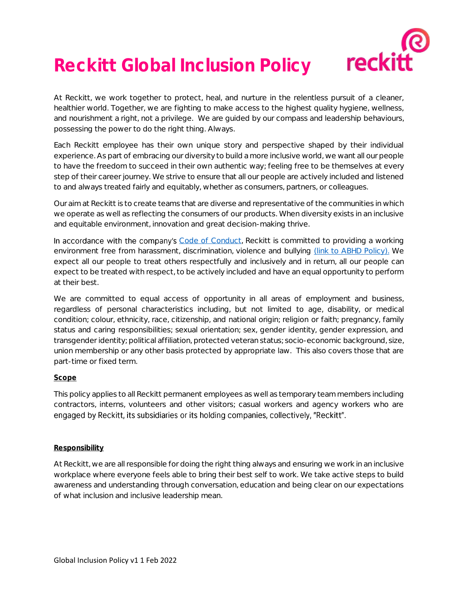

# **Reckitt Global Inclusion Policy**

At Reckitt, we work together to protect, heal, and nurture in the relentless pursuit of a cleaner, healthier world. Together, we are fighting to make access to the highest quality hygiene, wellness, and nourishment a right, not a privilege. We are guided by our compass and leadership behaviours, possessing the power to do the right thing. Always.

Each Reckitt employee has their own unique story and perspective shaped by their individual experience. As part of embracing our diversity to build a more inclusive world, we want all our people to have the freedom to succeed in their own authentic way; feeling free to be themselves at every step of their career journey. We strive to ensure that all our people are actively included and listened to and always treated fairly and equitably, whether as consumers, partners, or colleagues.

Our aim at Reckitt is to create teams that are diverse and representative of the communities in which we operate as well as reflecting the consumers of our products. When diversity exists in an inclusive and equitable environment, innovation and great decision-making thrive.

In accordance with the company's [Code of Conduct,](https://rbcom.sharepoint.com/sites/CorporatePolicies/Shared%20Documents/Forms/AllItems.aspx?id=%2Fsites%2FCorporatePolicies%2FShared%20Documents%2FEnglish%2FEnglish%2001%20%2D%20Code%20of%20Conduct%2Epdf&parent=%2Fsites%2FCorporatePolicies%2FShared%20Documents%2FEnglish) Reckitt is committed to providing a working environment free from harassment, discrimination, violence and bullying [\(link to ABHD Policy\).](https://rbcom.sharepoint.com/sites/CorporatePolicies/Shared%20Documents/Forms/AllItems.aspx?id=%2Fsites%2FCorporatePolicies%2FShared%20Documents%2FEnglish%2FAnti%2DHarassment%20Discrimination%20and%20Bullying%20Policy%2C%20final%20for%20GEC%20review%2013%2E12%2E2021%2Epdf&parent=%2Fsites%2FCorporatePolicies%2FShared%20Documents%2FEnglish) We expect all our people to treat others respectfully and inclusively and in return, all our people can expect to be treated with respect, to be actively included and have an equal opportunity to perform at their best.

We are committed to equal access of opportunity in all areas of employment and business, regardless of personal characteristics including, but not limited to age, disability, or medical condition; colour, ethnicity, race, citizenship, and national origin; religion or faith; pregnancy, family status and caring responsibilities; sexual orientation; sex, gender identity, gender expression, and transgender identity; political affiliation, protected veteran status; socio-economic background, size, union membership or any other basis protected by appropriate law. This also covers those that are part-time or fixed term.

## **Scope**

This policy applies to all Reckitt permanent employees as well as temporary team members including contractors, interns, volunteers and other visitors; casual workers and agency workers who are engaged by Reckitt, its subsidiaries or its holding companies, collectively, "Reckitt".

### **Responsibility**

At Reckitt, we are all responsible for doing the right thing always and ensuring we work in an inclusive workplace where everyone feels able to bring their best self to work. We take active steps to build awareness and understanding through conversation, education and being clear on our expectations of what inclusion and inclusive leadership mean.